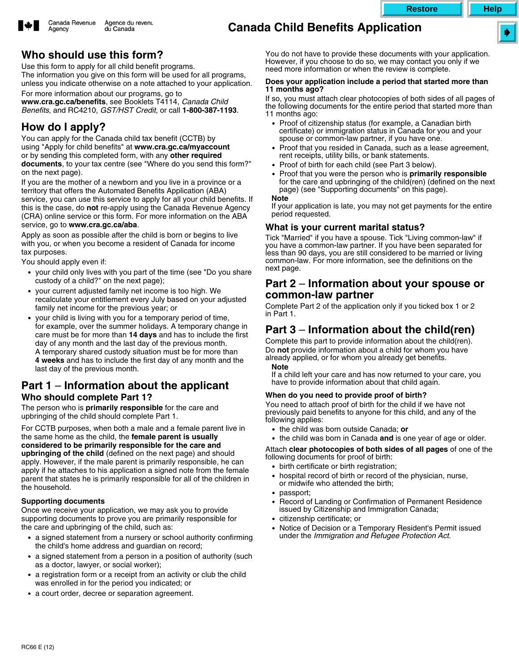

# **Canada Child Benefits Application**



# **Who should use this form?**

Use this form to apply for all child benefit programs. The information you give on this form will be used for all programs, unless you indicate otherwise on a note attached to your application.

For more information about our programs, go to

**www.cra.gc.ca/benefits**, see Booklets T4114, *Canada Child Benefits*, and RC4210, *GST/HST Credit,* or call **1-800-387-1193**.

# **How do I apply?**

You can apply for the Canada child tax benefit (CCTB) by using "Apply for child benefits" at **www.cra.gc.ca/myaccount** or by sending this completed form, with any **other required documents**, to your tax centre (see "Where do you send this form?" on the next page).

If you are the mother of a newborn and you live in a province or a territory that offers the Automated Benefits Application (ABA) service, you can use this service to apply for all your child benefits. If this is the case, do **not** re-apply using the Canada Revenue Agency (CRA) online service or this form. For more information on the ABA service, go to **www.cra.gc.ca/aba**.

Apply as soon as possible after the child is born or begins to live with you, or when you become a resident of Canada for income tax purposes.

You should apply even if:

- your child only lives with you part of the time (see "Do you share custody of a child?" on the next page);
- your current adjusted family net income is too high. We recalculate your entitlement every July based on your adjusted family net income for the previous year; or
- your child is living with you for a temporary period of time, for example, over the summer holidays. A temporary change in care must be for more than **14 days** and has to include the first day of any month and the last day of the previous month. A temporary shared custody situation must be for more than **4 weeks** and has to include the first day of any month and the last day of the previous month.

### **Part 1** – **Information about the applicant Who should complete Part 1?**

The person who is **primarily responsible** for the care and upbringing of the child should complete Part 1.

For CCTB purposes, when both a male and a female parent live in the same home as the child, the **female parent is usually considered to be primarily responsible for the care and upbringing of the child** (defined on the next page) and should apply. However, if the male parent is primarily responsible, he can apply if he attaches to his application a signed note from the female parent that states he is primarily responsible for all of the children in the household.

#### **Supporting documents**

Once we receive your application, we may ask you to provide supporting documents to prove you are primarily responsible for the care and upbringing of the child, such as:

- $\bullet$  a signed statement from a nursery or school authority confirming the child's home address and guardian on record;
- a signed statement from a person in a position of authority (such as a doctor, lawyer, or social worker);
- a registration form or a receipt from an activity or club the child was enrolled in for the period you indicated; or
- a court order, decree or separation agreement.

You do not have to provide these documents with your application. However, if you choose to do so, we may contact you only if we need more information or when the review is complete.

#### **Does your application include a period that started more than 11 months ago?**

If so, you must attach clear photocopies of both sides of all pages of the following documents for the entire period that started more than 11 months ago:

- - Proof of citizenship status (for example, a Canadian birth certificate) or immigration status in Canada for you and your spouse or common-law partner, if you have one.
- - Proof that you resided in Canada, such as a lease agreement, rent receipts, utility bills, or bank statements.
- -Proof of birth for each child (see Part 3 below).
- - Proof that you were the person who is **primarily responsible** for the care and upbringing of the child(ren) (defined on the next page) (see "Supporting documents" on this page).

#### **Note**

If your application is late, you may not get payments for the entire period requested.

#### **What is your current marital status?**

Tick "Married" if you have a spouse. Tick "Living common-law" if you have a common-law partner. If you have been separated for less than 90 days, you are still considered to be married or living common-law. For more information, see the definitions on the next page.

### **Part 2** – **Information about your spouse or common-law partner**

Complete Part 2 of the application only if you ticked box 1 or 2 in Part 1.

## **Part 3** – **Information about the child(ren)**

Complete this part to provide information about the child(ren). Do **not** provide information about a child for whom you have already applied, or for whom you already get benefits. **Note**

If a child left your care and has now returned to your care, you have to provide information about that child again.

#### **When do you need to provide proof of birth?**

You need to attach proof of birth for the child if we have not previously paid benefits to anyone for this child, and any of the following applies:

- the child was born outside Canada; **or**
- the child was born in Canada **and** is one year of age or older.

Attach **clear photocopies of both sides of all pages** of one of the following documents for proof of birth:

- birth certificate or birth registration;
- hospital record of birth or record of the physician, nurse, or midwife who attended the birth;
- passport;
- - Record of Landing or Confirmation of Permanent Residence issued by Citizenship and Immigration Canada;
- citizenship certificate; or
- - Notice of Decision or a Temporary Resident's Permit issued under the *Immigration and Refugee Protection Act.*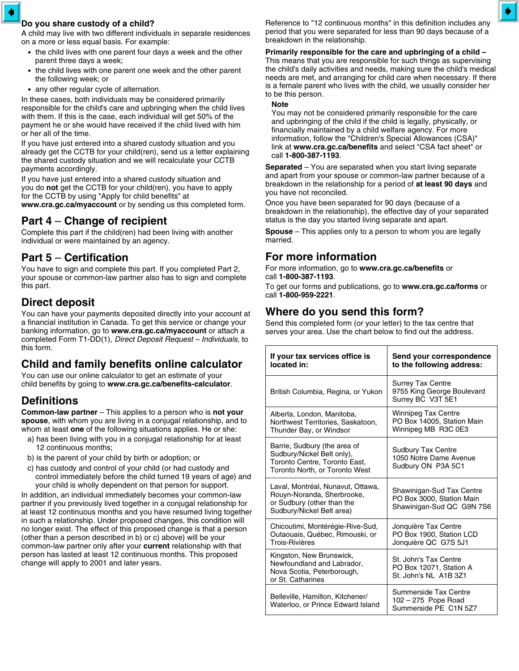#### **Do you share custody of a child?**

A child may live with two different individuals in separate residences on a more or less equal basis. For example:

- the child lives with one parent four days a week and the other parent three days a week;
- $\bullet$  the child lives with one parent one week and the other parent the following week; or
- any other regular cycle of alternation.

In these cases, both individuals may be considered primarily responsible for the child's care and upbringing when the child lives with them. If this is the case, each individual will get 50% of the payment he or she would have received if the child lived with him or her all of the time.

If you have just entered into a shared custody situation and you already get the CCTB for your child(ren), send us a letter explaining the shared custody situation and we will recalculate your CCTB payments accordingly.

If you have just entered into a shared custody situation and you do **not** get the CCTB for your child(ren), you have to apply for the CCTB by using "Apply for child benefits" at **www.cra.gc.ca/myaccount** or by sending us this completed form.

## **Part 4** – **Change of recipient**

Complete this part if the child(ren) had been living with another individual or were maintained by an agency.

## **Part 5** – **Certification**

You have to sign and complete this part. If you completed Part 2, your spouse or common-law partner also has to sign and complete this part.

## **Direct deposit**

You can have your payments deposited directly into your account at a financial institution in Canada. To get this service or change your banking information, go to **www.cra.gc.ca/myaccount** or attach a completed Form T1-DD(1), *Direct Deposit Request – Individuals*, to this form.

## **Child and family benefits online calculator**

You can use our online calculator to get an estimate of your child benefits by going to **www.cra.gc.ca/benefits-calculator**.

### **Definitions**

**Common-law partner** – This applies to a person who is **not your spouse**, with whom you are living in a conjugal relationship, and to whom at least **one** of the following situations applies. He or she:

- a) has been living with you in a conjugal relationship for at least 12 continuous months;
- b) is the parent of your child by birth or adoption; or
- c) has custody and control of your child (or had custody and control immediately before the child turned 19 years of age) and your child is wholly dependent on that person for support.

In addition, an individual immediately becomes your common-law partner if you previously lived together in a conjugal relationship for at least 12 continuous months and you have resumed living together in such a relationship. Under proposed changes, this condition will no longer exist. The effect of this proposed change is that a person (other than a person described in b) or c) above) will be your common-law partner only after your **current** relationship with that person has lasted at least 12 continuous months. This proposed change will apply to 2001 and later years.

Reference to "12 continuous months" in this definition includes any period that you were separated for less than 90 days because of a breakdown in the relationship.

**Primarily responsible for the care and upbringing of a child –** This means that you are responsible for such things as supervising the child's daily activities and needs, making sure the child's medical needs are met, and arranging for child care when necessary. If there is a female parent who lives with the child, we usually consider her

#### to be this person. **Note**

You may not be considered primarily responsible for the care and upbringing of the child if the child is legally, physically, or financially maintained by a child welfare agency. For more information, follow the "Children's Special Allowances (CSA)" link at **www.cra.gc.ca/benefits** and select "CSA fact sheet" or call **1-800-387-1193**.

**Separated** – You are separated when you start living separate and apart from your spouse or common-law partner because of a breakdown in the relationship for a period of **at least 90 days** and you have not reconciled.

Once you have been separated for 90 days (because of a breakdown in the relationship), the effective day of your separated status is the day you started living separate and apart.

**Spouse** – This applies only to a person to whom you are legally married.

## **For more information**

For more information, go to **www.cra.gc.ca/benefits** or call **1-800-387-1193**.

To get our forms and publications, go to **www.cra.gc.ca/forms** or call **1-800-959-2221**.

## **Where do you send this form?**

Send this completed form (or your letter) to the tax centre that serves your area. Use the chart below to find out the address.

| If your tax services office is<br>located in:                                                                                 | Send your correspondence<br>to the following address:                               |
|-------------------------------------------------------------------------------------------------------------------------------|-------------------------------------------------------------------------------------|
| British Columbia, Regina, or Yukon                                                                                            | <b>Surrey Tax Centre</b><br>9755 King George Boulevard<br>Surrey BC V3T 5E1         |
| Alberta, London, Manitoba,<br>Northwest Territories, Saskatoon,<br>Thunder Bay, or Windsor                                    | <b>Winnipeg Tax Centre</b><br>PO Box 14005, Station Main<br>Winnipeg MB R3C 0E3     |
| Barrie, Sudbury (the area of<br>Sudbury/Nickel Belt only),<br>Toronto Centre, Toronto East,<br>Toronto North, or Toronto West | <b>Sudbury Tax Centre</b><br>1050 Notre Dame Avenue<br>Sudbury ON P3A 5C1           |
| Laval, Montréal, Nunavut, Ottawa,<br>Rouyn-Noranda, Sherbrooke,<br>or Sudbury (other than the<br>Sudbury/Nickel Belt area)    | Shawinigan-Sud Tax Centre<br>PO Box 3000, Station Main<br>Shawinigan-Sud QC G9N 7S6 |
| Chicoutimi, Montérégie-Rive-Sud,<br>Outaouais, Québec, Rimouski, or<br>Trois-Rivières                                         | Jonquière Tax Centre<br>PO Box 1900, Station LCD<br>Jonquière QC G7S 5J1            |
| Kingston, New Brunswick,<br>Newfoundland and Labrador,<br>Nova Scotia, Peterborough,<br>or St. Catharines                     | St. John's Tax Centre<br>PO Box 12071, Station A<br>St. John's NL A1B 3Z1           |
| Belleville, Hamilton, Kitchener/<br>Waterloo, or Prince Edward Island                                                         | Summerside Tax Centre<br>102 - 275 Pope Road<br>Summerside PE C1N 5Z7               |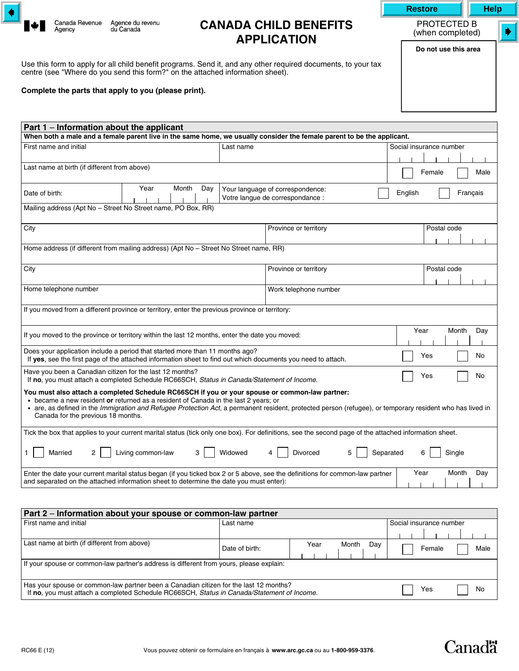

Agency

# **CANADA CHILD BENEFITS APPLICATION**

Use this form to apply for all child benefit programs. Send it, and any other required documents, to your tax centre (see "Where do you send this form?" on the attached information sheet).

#### **Complete the parts that apply to you (please print).**

| Part 1 – Information about the applicant                                                                                                                                                                                                                                                                                                                                                 |                        |         |                                                                                                                                                       |                          |  |
|------------------------------------------------------------------------------------------------------------------------------------------------------------------------------------------------------------------------------------------------------------------------------------------------------------------------------------------------------------------------------------------|------------------------|---------|-------------------------------------------------------------------------------------------------------------------------------------------------------|--------------------------|--|
| When both a male and a female parent live in the same home, we usually consider the female parent to be the applicant.                                                                                                                                                                                                                                                                   |                        |         |                                                                                                                                                       |                          |  |
| First name and initial                                                                                                                                                                                                                                                                                                                                                                   | Last name              |         | Social insurance number                                                                                                                               |                          |  |
|                                                                                                                                                                                                                                                                                                                                                                                          |                        |         |                                                                                                                                                       |                          |  |
| Last name at birth (if different from above)                                                                                                                                                                                                                                                                                                                                             |                        |         |                                                                                                                                                       | Female<br>Male           |  |
| Date of birth:                                                                                                                                                                                                                                                                                                                                                                           | Year<br>Month          | Day     | Your language of correspondence:<br>Votre langue de correspondance :                                                                                  | Français<br>English      |  |
| Mailing address (Apt No - Street No Street name, PO Box, RR)                                                                                                                                                                                                                                                                                                                             |                        |         |                                                                                                                                                       |                          |  |
| City                                                                                                                                                                                                                                                                                                                                                                                     |                        |         | Province or territory                                                                                                                                 | Postal code              |  |
| Home address (if different from mailing address) (Apt No - Street No Street name, RR)                                                                                                                                                                                                                                                                                                    |                        |         |                                                                                                                                                       |                          |  |
| City                                                                                                                                                                                                                                                                                                                                                                                     |                        |         | Province or territory                                                                                                                                 | Postal code              |  |
| Home telephone number                                                                                                                                                                                                                                                                                                                                                                    |                        |         | Work telephone number                                                                                                                                 |                          |  |
| If you moved from a different province or territory, enter the previous province or territory:                                                                                                                                                                                                                                                                                           |                        |         |                                                                                                                                                       |                          |  |
| If you moved to the province or territory within the last 12 months, enter the date you moved:                                                                                                                                                                                                                                                                                           |                        |         |                                                                                                                                                       | Year<br>Month<br>Day     |  |
| Does your application include a period that started more than 11 months ago?<br>If yes, see the first page of the attached information sheet to find out which documents you need to attach.                                                                                                                                                                                             |                        |         |                                                                                                                                                       | Yes<br>No                |  |
| Have you been a Canadian citizen for the last 12 months?<br>Yes<br>If no, you must attach a completed Schedule RC66SCH, Status in Canada/Statement of Income.                                                                                                                                                                                                                            |                        |         |                                                                                                                                                       | No                       |  |
| You must also attach a completed Schedule RC66SCH if you or your spouse or common-law partner:<br>• became a new resident or returned as a resident of Canada in the last 2 years; or<br>• are, as defined in the Immigration and Refugee Protection Act, a permanent resident, protected person (refugee), or temporary resident who has lived in<br>Canada for the previous 18 months. |                        |         |                                                                                                                                                       |                          |  |
|                                                                                                                                                                                                                                                                                                                                                                                          |                        |         | Tick the box that applies to your current marital status (tick only one box). For definitions, see the second page of the attached information sheet. |                          |  |
| Married<br>$\overline{2}$                                                                                                                                                                                                                                                                                                                                                                | Living common-law<br>3 | Widowed | Divorced<br>5                                                                                                                                         | Separated<br>6<br>Single |  |
| and separated on the attached information sheet to determine the date you must enter):                                                                                                                                                                                                                                                                                                   |                        |         | Enter the date your current marital status began (if you ticked box 2 or 5 above, see the definitions for common-law partner                          | Year<br>Month<br>Day     |  |
| Dart 2 - Information about your spouse or common-law partner                                                                                                                                                                                                                                                                                                                             |                        |         |                                                                                                                                                       |                          |  |

| Part 2 – Information about your spouse or common-law partner                                                                                                                        |                |      |              |                         |      |  |
|-------------------------------------------------------------------------------------------------------------------------------------------------------------------------------------|----------------|------|--------------|-------------------------|------|--|
| First name and initial                                                                                                                                                              | Last name      |      |              | Social insurance number |      |  |
|                                                                                                                                                                                     |                |      |              |                         |      |  |
| Last name at birth (if different from above)                                                                                                                                        | Date of birth: | Year | Month<br>Dav | Female                  | Male |  |
| If your spouse or common-law partner's address is different from yours, please explain:                                                                                             |                |      |              |                         |      |  |
| Has your spouse or common-law partner been a Canadian citizen for the last 12 months?<br>If no, you must attach a completed Schedule RC66SCH, Status in Canada/Statement of Income. |                |      | Yes          | No                      |      |  |

(when completed) ♦

**Canadä** 

**Do not use this area**

PROTECTED B

**Restore Help**